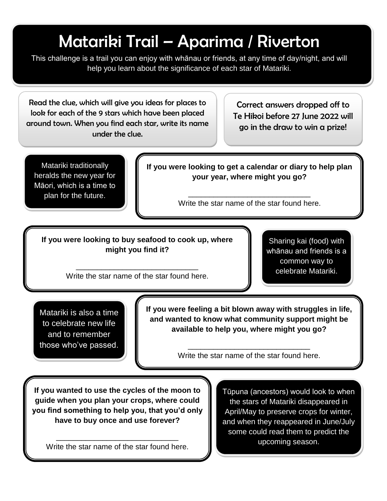## Matariki Trail – Aparima / Riverton

This challenge is a trail you can enjoy with whānau or friends, at any time of day/night, and will help you learn about the significance of each star of Matariki.

Read the clue, which will give you ideas for places to look for each of the 9 stars which have been placed around town. When you find each star, write its name under the clue.

Correct answers dropped off to Te Hikoi before 27 June 2022 will go in the draw to win a prize!

Matariki traditionally heralds the new year for Māori, which is a time to plan for the future.

**If you were looking to get a calendar or diary to help plan your year, where might you go?**

> \_\_\_\_\_\_\_\_\_\_\_\_\_\_\_\_\_\_\_\_\_\_\_\_\_\_\_\_\_ Write the star name of the star found here.

**If you were looking to buy seafood to cook up, where might you find it?**

> \_\_\_\_\_\_\_\_\_\_\_\_\_\_\_\_\_\_\_\_\_\_\_\_\_\_\_\_\_ Write the star name of the star found here.

Sharing kai (food) with whānau and friends is a common way to celebrate Matariki.

Matariki is also a time to celebrate new life and to remember those who've passed.

**If you were feeling a bit blown away with struggles in life, and wanted to know what community support might be available to help you, where might you go?**

> \_\_\_\_\_\_\_\_\_\_\_\_\_\_\_\_\_\_\_\_\_\_\_\_\_\_\_\_\_ Write the star name of the star found here.

**If you wanted to use the cycles of the moon to guide when you plan your crops, where could you find something to help you, that you'd only have to buy once and use forever?**

\_\_\_\_\_\_\_\_\_\_\_\_\_\_\_\_\_\_\_\_\_\_\_\_\_\_\_\_\_ Write the star name of the star found here.

Tūpuna (ancestors) would look to when the stars of Matariki disappeared in April/May to preserve crops for winter, and when they reappeared in June/July some could read them to predict the upcoming season.